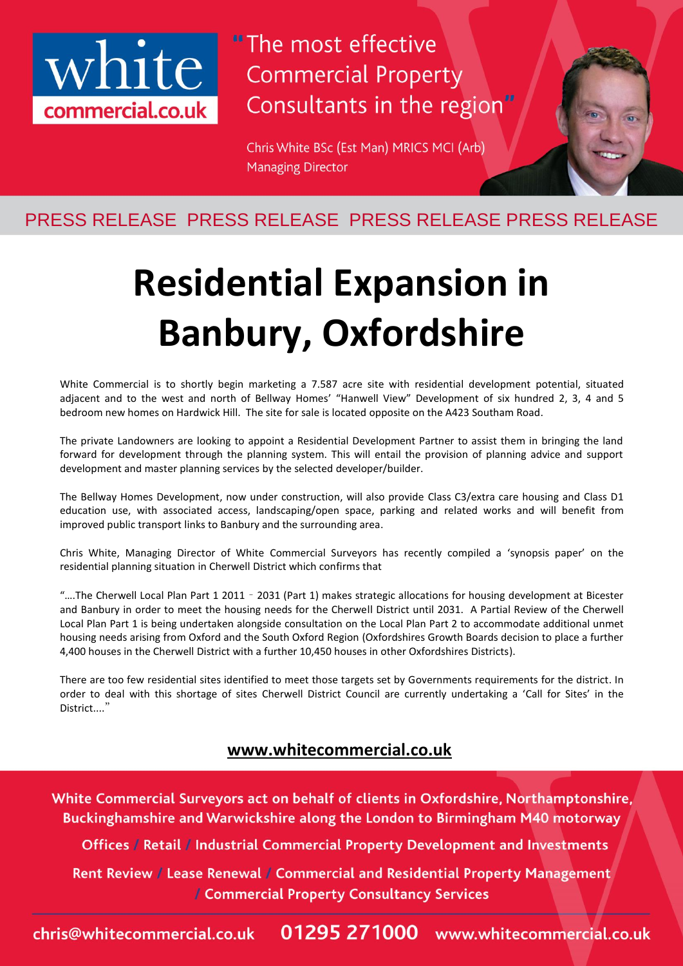

"The most effective **Commercial Property** Consultants in the region"

Chris White BSc (Est Man) MRICS MCI (Arb) **Managing Director** 

### PRESS RELEASE PRESS RELEASE PRESS RELEASE PRESS RELEASE

# **Residential Expansion in Banbury, Oxfordshire**

White Commercial is to shortly begin marketing a 7.587 acre site with residential development potential, situated adjacent and to the west and north of Bellway Homes' "Hanwell View" Development of six hundred 2, 3, 4 and 5 bedroom new homes on Hardwick Hill. The site for sale is located opposite on the A423 Southam Road.

The private Landowners are looking to appoint a Residential Development Partner to assist them in bringing the land forward for development through the planning system. This will entail the provision of planning advice and support development and master planning services by the selected developer/builder.

The Bellway Homes Development, now under construction, will also provide Class C3/extra care housing and Class D1 education use, with associated access, landscaping/open space, parking and related works and will benefit from improved public transport links to Banbury and the surrounding area.

Chris White, Managing Director of White Commercial Surveyors has recently compiled a 'synopsis paper' on the residential planning situation in Cherwell District which confirms that

"….The Cherwell Local Plan Part 1 2011 – 2031 (Part 1) makes strategic allocations for housing development at Bicester and Banbury in order to meet the housing needs for the Cherwell District until 2031. A Partial Review of the Cherwell Local Plan Part 1 is being undertaken alongside consultation on the Local Plan Part 2 to accommodate additional unmet housing needs arising from Oxford and the South Oxford Region (Oxfordshires Growth Boards decision to place a further 4,400 houses in the Cherwell District with a further 10,450 houses in other Oxfordshires Districts).

There are too few residential sites identified to meet those targets set by Governments requirements for the district. In order to deal with this shortage of sites Cherwell District Council are currently undertaking a 'Call for Sites' in the District...."

#### **[www.whitecommercial.co.uk](http://www.whitecommercial.co.uk/)**

White Commercial Surveyors act on behalf of clients in Oxfordshire, Northamptonshire, Buckinghamshire and Warwickshire along the London to Birmingham M40 motorway

Offices / Retail / Industrial Commercial Property Development and Investments

Rent Review / Lease Renewal / Commercial and Residential Property Management / Commercial Property Consultancy Services